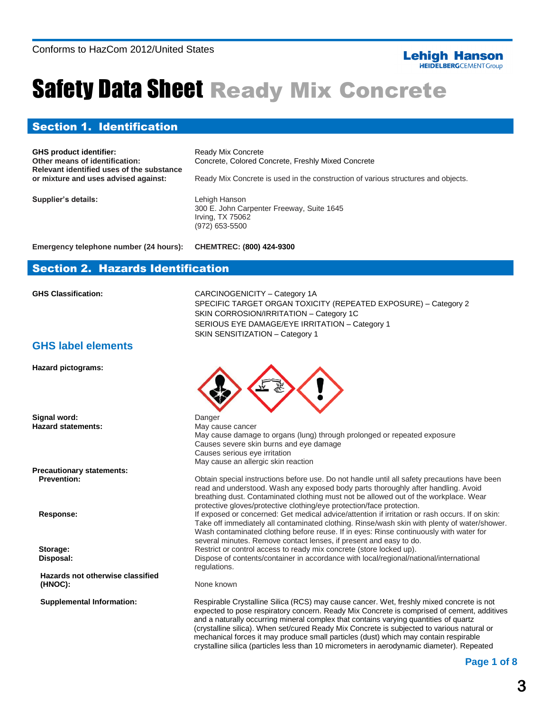#### **Lehigh Hanson HEIDELBERG**CEMENT Group

# Safety Data Sheet Ready Mix Concrete

#### Section 1. Identification

**GHS product identifier:** Ready Mix Concrete **Relevant identified uses of the substance** 

**Other means of identification:** Concrete, Colored Concrete, Freshly Mixed Concrete

Ready Mix Concrete is used in the construction of various structures and objects.

**Supplier's details:** Lehigh Hanson

300 E. John Carpenter Freeway, Suite 1645 Irving, TX 75062 (972) 653-5500

**Emergency telephone number (24 hours): CHEMTREC: (800) 424-9300**

#### Section 2. Hazards Identification

**GHS Classification:** CARCINOGENICITY – Category 1A SPECIFIC TARGET ORGAN TOXICITY (REPEATED EXPOSURE) – Category 2 SKIN CORROSION/IRRITATION – Category 1C SERIOUS EYE DAMAGE/EYE IRRITATION – Category 1 SKIN SENSITIZATION – Category 1

#### **GHS label elements**

**Hazard pictograms:**

**Signal word:** Danger **Hazard statements:**

**Precautionary statements: Prevention:**

 **Response:**

 **Storage: Disposal:**

**Hazards not otherwise classified (HNOC):**

**Supplemental Information:**



May cause cancer May cause damage to organs (lung) through prolonged or repeated exposure Causes severe skin burns and eye damage Causes serious eye irritation May cause an allergic skin reaction

Obtain special instructions before use. Do not handle until all safety precautions have been read and understood. Wash any exposed body parts thoroughly after handling. Avoid breathing dust. Contaminated clothing must not be allowed out of the workplace. Wear protective gloves/protective clothing/eye protection/face protection. If exposed or concerned: Get medical advice/attention if irritation or rash occurs. If on skin: Take off immediately all contaminated clothing. Rinse/wash skin with plenty of water/shower. Wash contaminated clothing before reuse. If in eyes: Rinse continuously with water for several minutes. Remove contact lenses, if present and easy to do. Restrict or control access to ready mix concrete (store locked up). Dispose of contents/container in accordance with local/regional/national/international regulations.

#### None known

Respirable Crystalline Silica (RCS) may cause cancer. Wet, freshly mixed concrete is not expected to pose respiratory concern. Ready Mix Concrete is comprised of cement, additives and a naturally occurring mineral complex that contains varying quantities of quartz (crystalline silica). When set/cured Ready Mix Concrete is subjected to various natural or mechanical forces it may produce small particles (dust) which may contain respirable crystalline silica (particles less than 10 micrometers in aerodynamic diameter). Repeated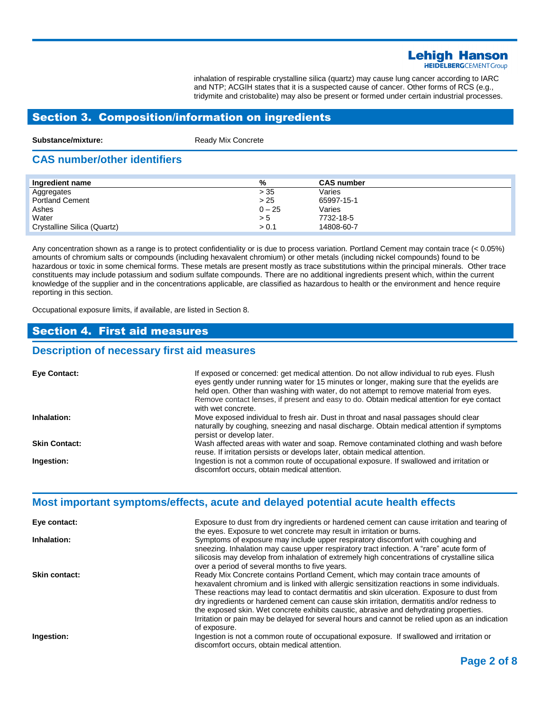### **Lehigh Hanson**

**HEIDELBERG**CEMENT Group

inhalation of respirable crystalline silica (quartz) may cause lung cancer according to IARC and NTP; ACGIH states that it is a suspected cause of cancer. Other forms of RCS (e.g., tridymite and cristobalite) may also be present or formed under certain industrial processes.

#### Section 3. Composition/information on ingredients

**Substance/mixture:** Ready Mix Concrete

#### **CAS number/other identifiers**

| Ingredient name             | %        | <b>CAS number</b> |
|-----------------------------|----------|-------------------|
| Aggregates                  | > 35     | Varies            |
| <b>Portland Cement</b>      | > 25     | 65997-15-1        |
| Ashes                       | $0 - 25$ | Varies            |
| Water                       | > 5      | 7732-18-5         |
| Crystalline Silica (Quartz) | > 0.1    | 14808-60-7        |

Any concentration shown as a range is to protect confidentiality or is due to process variation. Portland Cement may contain trace (< 0.05%) amounts of chromium salts or compounds (including hexavalent chromium) or other metals (including nickel compounds) found to be hazardous or toxic in some chemical forms. These metals are present mostly as trace substitutions within the principal minerals. Other trace constituents may include potassium and sodium sulfate compounds. There are no additional ingredients present which, within the current knowledge of the supplier and in the concentrations applicable, are classified as hazardous to health or the environment and hence require reporting in this section.

Occupational exposure limits, if available, are listed in Section 8.

#### Section 4. First aid measures

#### **Description of necessary first aid measures**

| Eye Contact:         | If exposed or concerned: get medical attention. Do not allow individual to rub eyes. Flush<br>eyes gently under running water for 15 minutes or longer, making sure that the eyelids are<br>held open. Other than washing with water, do not attempt to remove material from eyes.<br>Remove contact lenses, if present and easy to do. Obtain medical attention for eye contact<br>with wet concrete. |
|----------------------|--------------------------------------------------------------------------------------------------------------------------------------------------------------------------------------------------------------------------------------------------------------------------------------------------------------------------------------------------------------------------------------------------------|
| Inhalation:          | Move exposed individual to fresh air. Dust in throat and nasal passages should clear<br>naturally by coughing, sneezing and nasal discharge. Obtain medical attention if symptoms<br>persist or develop later.                                                                                                                                                                                         |
| <b>Skin Contact:</b> | Wash affected areas with water and soap. Remove contaminated clothing and wash before<br>reuse. If irritation persists or develops later, obtain medical attention.                                                                                                                                                                                                                                    |
| Ingestion:           | Ingestion is not a common route of occupational exposure. If swallowed and irritation or<br>discomfort occurs, obtain medical attention.                                                                                                                                                                                                                                                               |

#### **Most important symptoms/effects, acute and delayed potential acute health effects**

| Eye contact:         | Exposure to dust from dry ingredients or hardened cement can cause irritation and tearing of<br>the eyes. Exposure to wet concrete may result in irritation or burns.                                                                                                                                                                                                                                                                                                                                                                                                                 |
|----------------------|---------------------------------------------------------------------------------------------------------------------------------------------------------------------------------------------------------------------------------------------------------------------------------------------------------------------------------------------------------------------------------------------------------------------------------------------------------------------------------------------------------------------------------------------------------------------------------------|
| Inhalation:          | Symptoms of exposure may include upper respiratory discomfort with coughing and<br>sneezing. Inhalation may cause upper respiratory tract infection. A "rare" acute form of<br>silicosis may develop from inhalation of extremely high concentrations of crystalline silica<br>over a period of several months to five years.                                                                                                                                                                                                                                                         |
| <b>Skin contact:</b> | Ready Mix Concrete contains Portland Cement, which may contain trace amounts of<br>hexavalent chromium and is linked with allergic sensitization reactions in some individuals.<br>These reactions may lead to contact dermatitis and skin ulceration. Exposure to dust from<br>dry ingredients or hardened cement can cause skin irritation, dermatitis and/or redness to<br>the exposed skin. Wet concrete exhibits caustic, abrasive and dehydrating properties.<br>Irritation or pain may be delayed for several hours and cannot be relied upon as an indication<br>of exposure. |
| Ingestion:           | Ingestion is not a common route of occupational exposure. If swallowed and irritation or<br>discomfort occurs, obtain medical attention.                                                                                                                                                                                                                                                                                                                                                                                                                                              |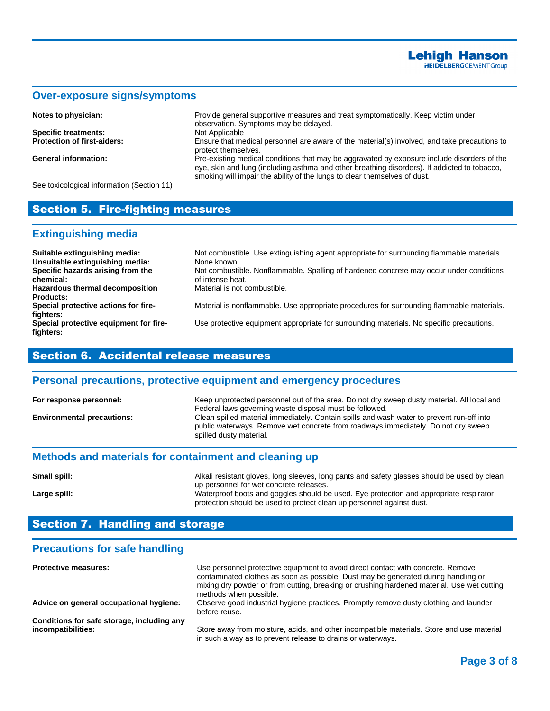#### **Over-exposure signs/symptoms**

**Specific treatments:** 

**Notes to physician: Provide general supportive measures and treat symptomatically. Keep victim under** observation. Symptoms may be delayed. **Protection of first-aiders:** Ensure that medical personnel are aware of the material(s) involved, and take precautions to protect themselves. **General information:** Pre-existing medical conditions that may be aggravated by exposure include disorders of the eye, skin and lung (including asthma and other breathing disorders). If addicted to tobacco, smoking will impair the ability of the lungs to clear themselves of dust.

See toxicological information (Section 11)

#### Section 5. Fire-fighting measures

#### **Extinguishing media**

| Suitable extinguishing media:          | Not combustible. Use extinguishing agent appropriate for surrounding flammable materials  |
|----------------------------------------|-------------------------------------------------------------------------------------------|
| Unsuitable extinguishing media:        | None known.                                                                               |
| Specific hazards arising from the      | Not combustible. Nonflammable. Spalling of hardened concrete may occur under conditions   |
| chemical:                              | of intense heat.                                                                          |
| Hazardous thermal decomposition        | Material is not combustible.                                                              |
| <b>Products:</b>                       |                                                                                           |
| Special protective actions for fire-   | Material is nonflammable. Use appropriate procedures for surrounding flammable materials. |
| fighters:                              |                                                                                           |
| Special protective equipment for fire- | Use protective equipment appropriate for surrounding materials. No specific precautions.  |
| fighters:                              |                                                                                           |
|                                        |                                                                                           |

#### Section 6. Accidental release measures

#### **Personal precautions, protective equipment and emergency procedures**

| For response personnel:           | Keep unprotected personnel out of the area. Do not dry sweep dusty material. All local and<br>Federal laws governing waste disposal must be followed.                                                     |
|-----------------------------------|-----------------------------------------------------------------------------------------------------------------------------------------------------------------------------------------------------------|
| <b>Environmental precautions:</b> | Clean spilled material immediately. Contain spills and wash water to prevent run-off into<br>public waterways. Remove wet concrete from roadways immediately. Do not dry sweep<br>spilled dusty material. |

#### **Methods and materials for containment and cleaning up**

| Small spill: | Alkali resistant gloves, long sleeves, long pants and safety glasses should be used by clean |
|--------------|----------------------------------------------------------------------------------------------|
|              | up personnel for wet concrete releases.                                                      |
| Large spill: | Waterproof boots and goggles should be used. Eye protection and appropriate respirator       |
|              | protection should be used to protect clean up personnel against dust.                        |

#### Section 7. Handling and storage

#### **Precautions for safe handling**

| <b>Protective measures:</b>                                      | Use personnel protective equipment to avoid direct contact with concrete. Remove<br>contaminated clothes as soon as possible. Dust may be generated during handling or<br>mixing dry powder or from cutting, breaking or crushing hardened material. Use wet cutting<br>methods when possible. |
|------------------------------------------------------------------|------------------------------------------------------------------------------------------------------------------------------------------------------------------------------------------------------------------------------------------------------------------------------------------------|
| Advice on general occupational hygiene:                          | Observe good industrial hygiene practices. Promptly remove dusty clothing and launder<br>before reuse.                                                                                                                                                                                         |
| Conditions for safe storage, including any<br>incompatibilities: | Store away from moisture, acids, and other incompatible materials. Store and use material<br>in such a way as to prevent release to drains or waterways.                                                                                                                                       |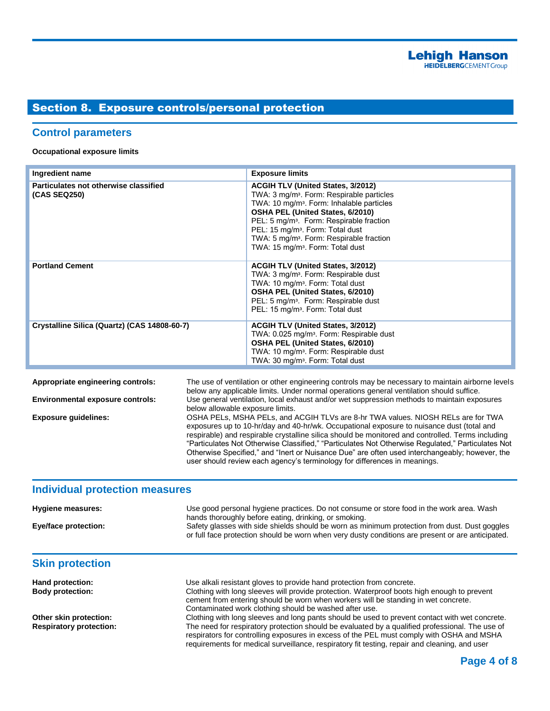#### Section 8. Exposure controls/personal protection

#### **Control parameters**

**Occupational exposure limits**

| Ingredient name                                       | <b>Exposure limits</b>                                                                                                                                                                                                                                                                                                                                                                                         |
|-------------------------------------------------------|----------------------------------------------------------------------------------------------------------------------------------------------------------------------------------------------------------------------------------------------------------------------------------------------------------------------------------------------------------------------------------------------------------------|
| Particulates not otherwise classified<br>(CAS SEQ250) | <b>ACGIH TLV (United States, 3/2012)</b><br>TWA: 3 mg/m <sup>3</sup> . Form: Respirable particles<br>TWA: 10 mg/m <sup>3</sup> . Form: Inhalable particles<br>OSHA PEL (United States, 6/2010)<br>PEL: 5 mg/m <sup>3</sup> . Form: Respirable fraction<br>PEL: 15 mg/m <sup>3</sup> . Form: Total dust<br>TWA: 5 mg/m <sup>3</sup> . Form: Respirable fraction<br>TWA: 15 mg/m <sup>3</sup> . Form: Total dust |
| <b>Portland Cement</b>                                | <b>ACGIH TLV (United States, 3/2012)</b><br>TWA: 3 mg/m <sup>3</sup> . Form: Respirable dust<br>TWA: 10 mg/m <sup>3</sup> . Form: Total dust<br>OSHA PEL (United States, 6/2010)<br>PEL: 5 mg/m <sup>3</sup> . Form: Respirable dust<br>PEL: 15 mg/m <sup>3</sup> . Form: Total dust                                                                                                                           |
| Crystalline Silica (Quartz) (CAS 14808-60-7)          | <b>ACGIH TLV (United States, 3/2012)</b><br>TWA: 0.025 mg/m <sup>3</sup> . Form: Respirable dust<br><b>OSHA PEL (United States, 6/2010)</b><br>TWA: 10 mg/m <sup>3</sup> . Form: Respirable dust<br>TWA: 30 mg/m <sup>3</sup> . Form: Total dust                                                                                                                                                               |

**Appropriate engineering controls:** The use of ventilation or other engineering controls may be necessary to maintain airborne levels below any applicable limits. Under normal operations general ventilation should suffice. **Environmental exposure controls:** Use general ventilation, local exhaust and/or wet suppression methods to maintain exposures below allowable exposure limits. **Exposure guidelines:** OSHA PELs, MSHA PELs, and ACGIH TLVs are 8-hr TWA values. NIOSH RELs are for TWA exposures up to 10-hr/day and 40-hr/wk. Occupational exposure to nuisance dust (total and respirable) and respirable crystalline silica should be monitored and controlled. Terms including "Particulates Not Otherwise Classified," "Particulates Not Otherwise Regulated," Particulates Not Otherwise Specified," and "Inert or Nuisance Due" are often used interchangeably; however, the user should review each agency's terminology for differences in meanings.

#### **Individual protection measures**

| Hygiene measures:<br><b>Eye/face protection:</b>         | Use good personal hygiene practices. Do not consume or store food in the work area. Wash<br>hands thoroughly before eating, drinking, or smoking.<br>Safety glasses with side shields should be worn as minimum protection from dust. Dust goggles                                                                   |
|----------------------------------------------------------|----------------------------------------------------------------------------------------------------------------------------------------------------------------------------------------------------------------------------------------------------------------------------------------------------------------------|
|                                                          | or full face protection should be worn when very dusty conditions are present or are anticipated.                                                                                                                                                                                                                    |
| <b>Skin protection</b>                                   |                                                                                                                                                                                                                                                                                                                      |
| Hand protection:<br><b>Body protection:</b>              | Use alkali resistant gloves to provide hand protection from concrete.<br>Clothing with long sleeves will provide protection. Waterproof boots high enough to prevent<br>cement from entering should be worn when workers will be standing in wet concrete.<br>Contaminated work clothing should be washed after use. |
| Other skin protection:<br><b>Respiratory protection:</b> | Clothing with long sleeves and long pants should be used to prevent contact with wet concrete.<br>The need for respiratory protection should be evaluated by a qualified professional. The use of<br>respirators for controlling exposures in excess of the PEL must comply with OSHA and MSHA                       |

requirements for medical surveillance, respiratory fit testing, repair and cleaning, and user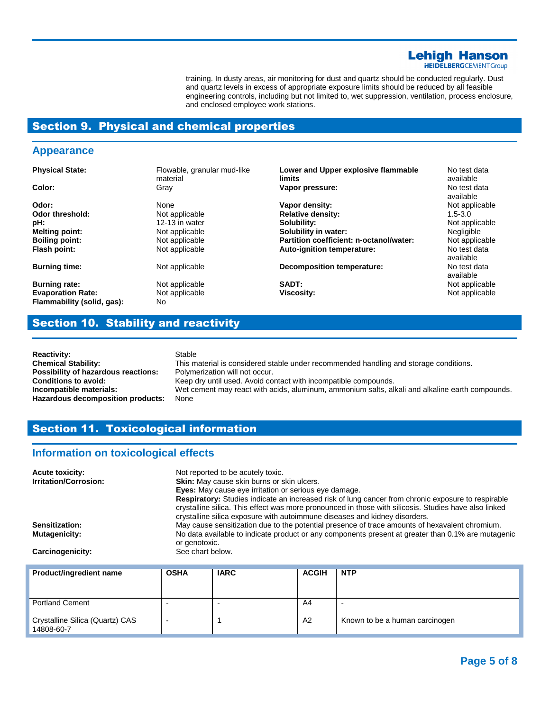## **Lehigh Hanson**<br>HEIDELBERGCEMENTGroup

training. In dusty areas, air monitoring for dust and quartz should be conducted regularly. Dust and quartz levels in excess of appropriate exposure limits should be reduced by all feasible engineering controls, including but not limited to, wet suppression, ventilation, process enclosure, and enclosed employee work stations.

#### Section 9. Physical and chemical properties

#### **Appearance**

| <b>Physical State:</b>                                 | Flowable, granular mud-like<br>material | Lower and Upper explosive flammable<br>limits | No test data<br>available |
|--------------------------------------------------------|-----------------------------------------|-----------------------------------------------|---------------------------|
| Color:                                                 | Gray                                    | Vapor pressure:                               | No test data<br>available |
| Odor:                                                  | None                                    | Vapor density:                                | Not applicable            |
| Odor threshold:                                        | Not applicable                          | <b>Relative density:</b>                      | $1.5 - 3.0$               |
| pH:                                                    | 12-13 in water                          | Solubility:                                   | Not applicable            |
| <b>Melting point:</b>                                  | Not applicable                          | Solubility in water:                          | <b>Negligible</b>         |
| <b>Boiling point:</b>                                  | Not applicable                          | Partition coefficient: n-octanol/water:       | Not applicable            |
| Flash point:                                           | Not applicable                          | Auto-ignition temperature:                    | No test data<br>available |
| <b>Burning time:</b>                                   | Not applicable                          | <b>Decomposition temperature:</b>             | No test data<br>available |
| <b>Burning rate:</b>                                   | Not applicable                          | SADT:                                         | Not applicable            |
| <b>Evaporation Rate:</b><br>Flammability (solid, gas): | Not applicable<br>No.                   | Viscosity:                                    | Not applicable            |

#### Section 10. Stability and reactivity

**Reactivity:** Stable **Possibility of hazardous reactions:** Polymerization will not occur. **Hazardous decomposition products:** None

**Chemical Stability:** This material is considered stable under recommended handling and storage conditions. **Conditions to avoid:** Keep dry until used. Avoid contact with incompatible compounds. **Incompatible materials:** Wet cement may react with acids, aluminum, ammonium salts, alkali and alkaline earth compounds.

#### Section 11. Toxicological information

#### **Information on toxicological effects**

| <b>Acute toxicity:</b><br><b>Irritation/Corrosion:</b> | Not reported to be acutely toxic.<br><b>Skin:</b> May cause skin burns or skin ulcers.<br><b>Eyes:</b> May cause eye irritation or serious eye damage.<br>Respiratory: Studies indicate an increased risk of lung cancer from chronic exposure to respirable<br>crystalline silica. This effect was more pronounced in those with silicosis. Studies have also linked<br>crystalline silica exposure with autoimmune diseases and kidney disorders. |
|--------------------------------------------------------|-----------------------------------------------------------------------------------------------------------------------------------------------------------------------------------------------------------------------------------------------------------------------------------------------------------------------------------------------------------------------------------------------------------------------------------------------------|
| Sensitization:                                         | May cause sensitization due to the potential presence of trace amounts of hexavalent chromium.                                                                                                                                                                                                                                                                                                                                                      |
| <b>Mutagenicity:</b>                                   | No data available to indicate product or any components present at greater than 0.1% are mutagenic<br>or genotoxic.                                                                                                                                                                                                                                                                                                                                 |
| Carcinogenicity:                                       | See chart below.                                                                                                                                                                                                                                                                                                                                                                                                                                    |
|                                                        |                                                                                                                                                                                                                                                                                                                                                                                                                                                     |

| Product/ingredient name                       | <b>OSHA</b> | <b>IARC</b> | <b>ACGIH</b>   | <b>NTP</b>                     |
|-----------------------------------------------|-------------|-------------|----------------|--------------------------------|
| <b>Portland Cement</b>                        |             |             | A4             |                                |
| Crystalline Silica (Quartz) CAS<br>14808-60-7 |             |             | A <sub>2</sub> | Known to be a human carcinogen |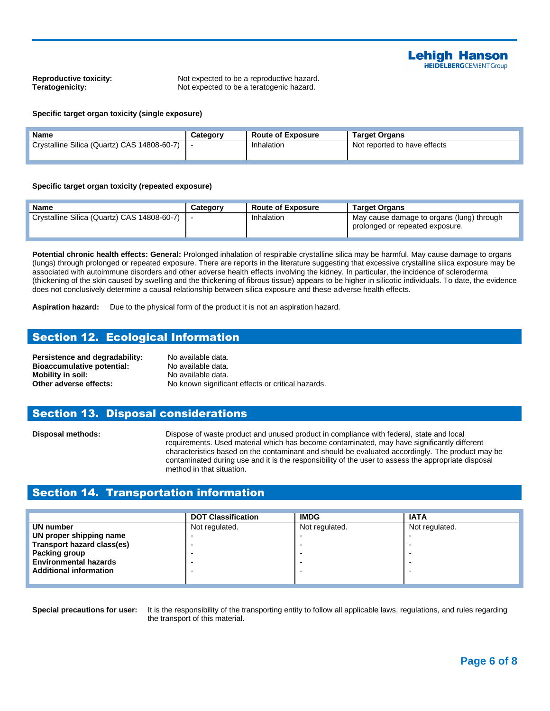

**Reproductive toxicity:** Not expected to be a reproductive hazard. **Teratogenicity:** Not expected to be a teratogenic hazard.

#### **Specific target organ toxicity (single exposure)**

| <b>Name</b>                                 | Category | <b>Route of Exposure</b> | <b>Target Organs</b>         |
|---------------------------------------------|----------|--------------------------|------------------------------|
| Crystalline Silica (Quartz) CAS 14808-60-7) |          | Inhalation               | Not reported to have effects |
|                                             |          |                          |                              |

#### **Specific target organ toxicity (repeated exposure)**

| <b>Name</b>                                 | Category | <b>Route of Exposure</b> | <b>Target Organs</b>                                                         |
|---------------------------------------------|----------|--------------------------|------------------------------------------------------------------------------|
| Crystalline Silica (Quartz) CAS 14808-60-7) |          | Inhalation               | May cause damage to organs (lung) through<br>prolonged or repeated exposure. |

**Potential chronic health effects: General:** Prolonged inhalation of respirable crystalline silica may be harmful. May cause damage to organs (lungs) through prolonged or repeated exposure. There are reports in the literature suggesting that excessive crystalline silica exposure may be associated with autoimmune disorders and other adverse health effects involving the kidney. In particular, the incidence of scleroderma (thickening of the skin caused by swelling and the thickening of fibrous tissue) appears to be higher in silicotic individuals. To date, the evidence does not conclusively determine a causal relationship between silica exposure and these adverse health effects.

**Aspiration hazard:** Due to the physical form of the product it is not an aspiration hazard.

#### Section 12. Ecological Information

Persistence and degradability: No available data. **Bioaccumulative potential:** No available data. **Mobility in soil:** No available data.

**Other adverse effects:** No known significant effects or critical hazards.

#### Section 13. Disposal considerations

**Disposal methods:** Dispose of waste product and unused product in compliance with federal, state and local requirements. Used material which has become contaminated, may have significantly different characteristics based on the contaminant and should be evaluated accordingly. The product may be contaminated during use and it is the responsibility of the user to assess the appropriate disposal method in that situation.

#### Section 14. Transportation information

|                               | <b>DOT Classification</b> | <b>IMDG</b>    | <b>IATA</b>    |
|-------------------------------|---------------------------|----------------|----------------|
| UN number                     | Not regulated.            | Not regulated. | Not regulated. |
| UN proper shipping name       |                           |                |                |
| Transport hazard class(es)    |                           |                |                |
| Packing group                 |                           |                |                |
| <b>Environmental hazards</b>  |                           |                |                |
| <b>Additional information</b> |                           |                |                |
|                               |                           |                |                |

**Special precautions for user:** It is the responsibility of the transporting entity to follow all applicable laws, regulations, and rules regarding the transport of this material.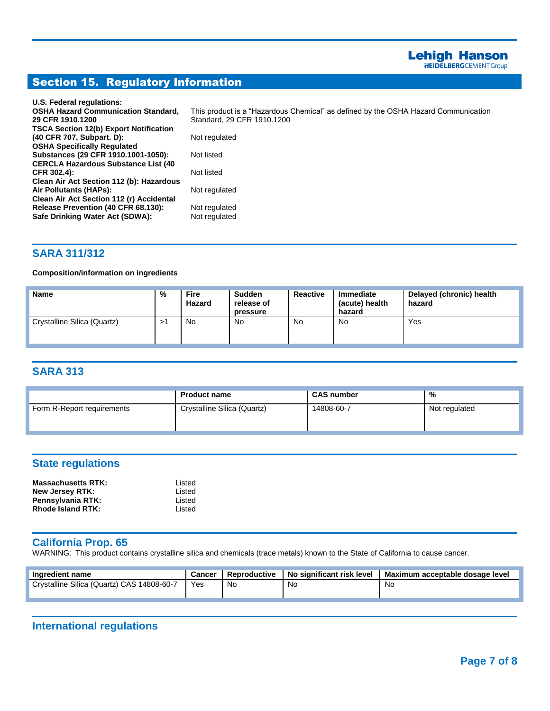### Section 15. Regulatory Information

| U.S. Federal regulations:                     |                                                                                    |
|-----------------------------------------------|------------------------------------------------------------------------------------|
| <b>OSHA Hazard Communication Standard,</b>    | This product is a "Hazardous Chemical" as defined by the OSHA Hazard Communication |
| 29 CFR 1910.1200                              | Standard, 29 CFR 1910, 1200                                                        |
| <b>TSCA Section 12(b) Export Notification</b> |                                                                                    |
| (40 CFR 707, Subpart. D):                     | Not regulated                                                                      |
| <b>OSHA Specifically Regulated</b>            |                                                                                    |
| Substances (29 CFR 1910.1001-1050):           | Not listed                                                                         |
| <b>CERCLA Hazardous Substance List (40)</b>   |                                                                                    |
| CFR 302.4):                                   | Not listed                                                                         |
| Clean Air Act Section 112 (b): Hazardous      |                                                                                    |
| Air Pollutants (HAPs):                        | Not regulated                                                                      |
| Clean Air Act Section 112 (r) Accidental      |                                                                                    |
| Release Prevention (40 CFR 68.130):           | Not regulated                                                                      |
| Safe Drinking Water Act (SDWA):               | Not regulated                                                                      |
|                                               |                                                                                    |

#### **SARA 311/312**

#### **Composition/information on ingredients**

| <b>Name</b>                 | %  | <b>Fire</b><br>Hazard | <b>Sudden</b><br>release of<br>pressure | Reactive | <b>Immediate</b><br>(acute) health<br>hazard | Delayed (chronic) health<br>hazard |
|-----------------------------|----|-----------------------|-----------------------------------------|----------|----------------------------------------------|------------------------------------|
| Crystalline Silica (Quartz) | >′ | No                    | No                                      | No       | No                                           | Yes                                |

#### **SARA 313**

|                            | <b>Product name</b>         | <b>CAS number</b> | %             |
|----------------------------|-----------------------------|-------------------|---------------|
| Form R-Report requirements | Crystalline Silica (Quartz) | 14808-60-7        | Not regulated |

#### **State regulations**

| <b>Massachusetts RTK:</b> | Listed |
|---------------------------|--------|
| New Jersey RTK:           | Listed |
| Pennsylvania RTK:         | Listed |
| Rhode Island RTK:         | Listed |

#### **California Prop. 65**

WARNING: This product contains crystalline silica and chemicals (trace metals) known to the State of California to cause cancer.

| Ingredient name                            | <b>Cancer</b> | Reproductive | No significant risk level | I Maximum acceptable dosage level |
|--------------------------------------------|---------------|--------------|---------------------------|-----------------------------------|
| Crystalline Silica (Quartz) CAS 14808-60-7 | Yes           | Nc           | N0                        | .No                               |

#### **International regulations**